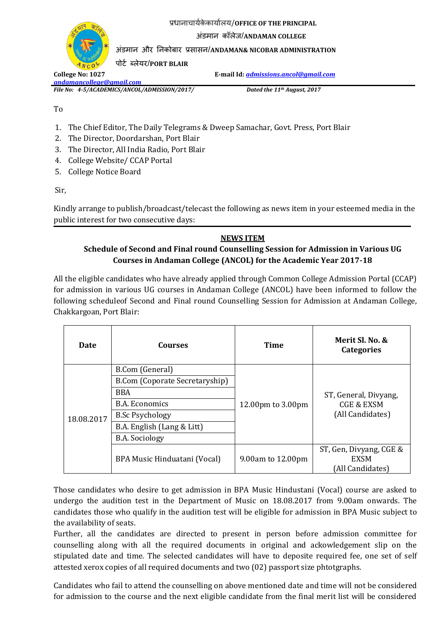प्रधानाचार्यके कार्ायलर्/**OFFICE OF THE PRINCIPAL**

अंडमान कॉलेज/**ANDAMAN COLLEGE**

अंडमान और ननकोबार प्रसासन/**ANDAMAN& NICOBAR ADMINISTRATION**

ऩोर्य ब्लेर्र/**PORT BLAIR**

*[andamancollege@gmail.com](mailto:andamancollege@gmail.com)*

*File No: 4-5/ACADEMICS/ANCOL/ADMISSION/2017/ Dated the 11th August, 2017*

**College No: 1027 E-mail Id:** *[admissions.ancol@gmail.com](mailto:admissions.ancol@gmail.com)*

To

- 1. The Chief Editor, The Daily Telegrams & Dweep Samachar, Govt. Press, Port Blair
- 2. The Director, Doordarshan, Port Blair
- 3. The Director, All India Radio, Port Blair
- 4. College Website/ CCAP Portal
- 5. College Notice Board

Sir,

Kindly arrange to publish/broadcast/telecast the following as news item in your esteemed media in the public interest for two consecutive days:

## **NEWS ITEM**

## **Schedule of Second and Final round Counselling Session for Admission in Various UG Courses in Andaman College (ANCOL) for the Academic Year 2017-18**

All the eligible candidates who have already applied through Common College Admission Portal (CCAP) for admission in various UG courses in Andaman College (ANCOL) have been informed to follow the following scheduleof Second and Final round Counselling Session for Admission at Andaman College, Chakkargoan, Port Blair:

| Date       | <b>Courses</b>                 | Time              | Merit Sl. No. &<br><b>Categories</b>                               |
|------------|--------------------------------|-------------------|--------------------------------------------------------------------|
| 18.08.2017 | B.Com (General)                | 12.00pm to 3.00pm | ST, General, Divyang,<br><b>CGE &amp; EXSM</b><br>(All Candidates) |
|            | B.Com (Coporate Secretaryship) |                   |                                                                    |
|            | <b>BBA</b>                     |                   |                                                                    |
|            | B.A. Economics                 |                   |                                                                    |
|            | <b>B.Sc Psychology</b>         |                   |                                                                    |
|            | B.A. English (Lang & Litt)     |                   |                                                                    |
|            | <b>B.A.</b> Sociology          |                   |                                                                    |
|            | BPA Music Hinduatani (Vocal)   | 9.00am to 12.00pm | ST, Gen, Divyang, CGE &                                            |
|            |                                |                   | <b>EXSM</b>                                                        |
|            |                                |                   | [All Candidates]                                                   |

Those candidates who desire to get admission in BPA Music Hindustani (Vocal) course are asked to undergo the audition test in the Department of Music on 18.08.2017 from 9.00am onwards. The candidates those who qualify in the audition test will be eligible for admission in BPA Music subject to the availability of seats.

Further, all the candidates are directed to present in person before admission committee for counselling along with all the required documents in original and ackowledgement slip on the stipulated date and time. The selected candidates will have to deposite required fee, one set of self attested xerox copies of all required documents and two (02) passport size phtotgraphs.

Candidates who fail to attend the counselling on above mentioned date and time will not be considered for admission to the course and the next eligible candidate from the final merit list will be considered